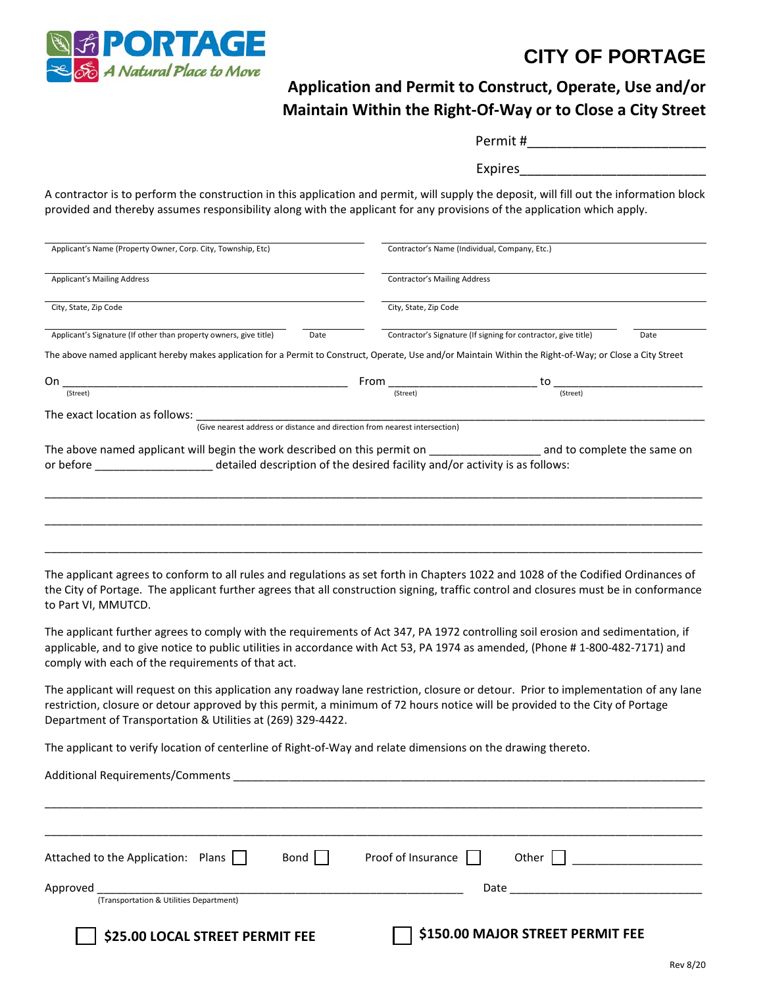

## **CITY OF PORTAGE**

## **Application and Permit to Construct, Operate, Use and/or Maintain Within the Right-Of-Way or to Close a City Street**

| Permit#        |  |  |
|----------------|--|--|
| <b>Expires</b> |  |  |

A contractor is to perform the construction in this application and permit, will supply the deposit, will fill out the information block provided and thereby assumes responsibility along with the applicant for any provisions of the application which apply.

| Applicant's Name (Property Owner, Corp. City, Township, Etc)                                                                                                                                                                                                                                                                       |                                                                                                                                                                                                                                                                                                                                                                                                                                                                                                            | Contractor's Name (Individual, Company, Etc.)                                                                                                                                                                                  |                             |  |  |
|------------------------------------------------------------------------------------------------------------------------------------------------------------------------------------------------------------------------------------------------------------------------------------------------------------------------------------|------------------------------------------------------------------------------------------------------------------------------------------------------------------------------------------------------------------------------------------------------------------------------------------------------------------------------------------------------------------------------------------------------------------------------------------------------------------------------------------------------------|--------------------------------------------------------------------------------------------------------------------------------------------------------------------------------------------------------------------------------|-----------------------------|--|--|
| <b>Applicant's Mailing Address</b>                                                                                                                                                                                                                                                                                                 |                                                                                                                                                                                                                                                                                                                                                                                                                                                                                                            | <b>Contractor's Mailing Address</b>                                                                                                                                                                                            |                             |  |  |
|                                                                                                                                                                                                                                                                                                                                    |                                                                                                                                                                                                                                                                                                                                                                                                                                                                                                            |                                                                                                                                                                                                                                |                             |  |  |
| City, State, Zip Code                                                                                                                                                                                                                                                                                                              | City, State, Zip Code                                                                                                                                                                                                                                                                                                                                                                                                                                                                                      |                                                                                                                                                                                                                                |                             |  |  |
| Applicant's Signature (If other than property owners, give title)<br>Date                                                                                                                                                                                                                                                          |                                                                                                                                                                                                                                                                                                                                                                                                                                                                                                            | Contractor's Signature (If signing for contractor, give title)<br>Date                                                                                                                                                         |                             |  |  |
| The above named applicant hereby makes application for a Permit to Construct, Operate, Use and/or Maintain Within the Right-of-Way; or Close a City Street                                                                                                                                                                         |                                                                                                                                                                                                                                                                                                                                                                                                                                                                                                            |                                                                                                                                                                                                                                |                             |  |  |
|                                                                                                                                                                                                                                                                                                                                    |                                                                                                                                                                                                                                                                                                                                                                                                                                                                                                            |                                                                                                                                                                                                                                |                             |  |  |
| On $\frac{1}{(Street)}$                                                                                                                                                                                                                                                                                                            | $From \begin{tabular}{l} From \begin{tabular}{c} \hline & (Street) \end{tabular} \end{tabular} \begin{tabular}{c} \hline \multicolumn{3}{c}{\textbf{1}} \\ \hline \multicolumn{3}{c}{\textbf{1}} \\ \hline \multicolumn{3}{c}{\textbf{1}} \\ \hline \multicolumn{3}{c}{\textbf{1}} \\ \hline \multicolumn{3}{c}{\textbf{1}} \\ \hline \multicolumn{3}{c}{\textbf{1}} \\ \hline \multicolumn{3}{c}{\textbf{1}} \\ \hline \multicolumn{3}{c}{\textbf{1}} \\ \hline \multicolumn{3}{c}{\textbf{1}} \\ \hline$ |                                                                                                                                                                                                                                |                             |  |  |
| The exact location as follows: ____                                                                                                                                                                                                                                                                                                |                                                                                                                                                                                                                                                                                                                                                                                                                                                                                                            |                                                                                                                                                                                                                                |                             |  |  |
| (Give nearest address or distance and direction from nearest intersection)                                                                                                                                                                                                                                                         |                                                                                                                                                                                                                                                                                                                                                                                                                                                                                                            |                                                                                                                                                                                                                                |                             |  |  |
| The above named applicant will begin the work described on this permit on __________________________<br>or before <b>contract to the design of the desired facility and/or activity is as follows:</b>                                                                                                                             |                                                                                                                                                                                                                                                                                                                                                                                                                                                                                                            |                                                                                                                                                                                                                                | and to complete the same on |  |  |
| The applicant agrees to conform to all rules and regulations as set forth in Chapters 1022 and 1028 of the Codified Ordinances of<br>the City of Portage. The applicant further agrees that all construction signing, traffic control and closures must be in conformance<br>to Part VI, MMUTCD.                                   |                                                                                                                                                                                                                                                                                                                                                                                                                                                                                                            |                                                                                                                                                                                                                                |                             |  |  |
| The applicant further agrees to comply with the requirements of Act 347, PA 1972 controlling soil erosion and sedimentation, if<br>applicable, and to give notice to public utilities in accordance with Act 53, PA 1974 as amended, (Phone #1-800-482-7171) and<br>comply with each of the requirements of that act.              |                                                                                                                                                                                                                                                                                                                                                                                                                                                                                                            |                                                                                                                                                                                                                                |                             |  |  |
| The applicant will request on this application any roadway lane restriction, closure or detour. Prior to implementation of any lane<br>restriction, closure or detour approved by this permit, a minimum of 72 hours notice will be provided to the City of Portage<br>Department of Transportation & Utilities at (269) 329-4422. |                                                                                                                                                                                                                                                                                                                                                                                                                                                                                                            |                                                                                                                                                                                                                                |                             |  |  |
| The applicant to verify location of centerline of Right-of-Way and relate dimensions on the drawing thereto.                                                                                                                                                                                                                       |                                                                                                                                                                                                                                                                                                                                                                                                                                                                                                            |                                                                                                                                                                                                                                |                             |  |  |
| Additional Requirements/Comments                                                                                                                                                                                                                                                                                                   |                                                                                                                                                                                                                                                                                                                                                                                                                                                                                                            |                                                                                                                                                                                                                                |                             |  |  |
|                                                                                                                                                                                                                                                                                                                                    |                                                                                                                                                                                                                                                                                                                                                                                                                                                                                                            |                                                                                                                                                                                                                                |                             |  |  |
| Attached to the Application: Plans<br>Bond                                                                                                                                                                                                                                                                                         | Proof of Insurance                                                                                                                                                                                                                                                                                                                                                                                                                                                                                         | Other                                                                                                                                                                                                                          |                             |  |  |
| Approved                                                                                                                                                                                                                                                                                                                           |                                                                                                                                                                                                                                                                                                                                                                                                                                                                                                            | Date and the contract of the contract of the contract of the contract of the contract of the contract of the contract of the contract of the contract of the contract of the contract of the contract of the contract of the c |                             |  |  |
| (Transportation & Utilities Department)                                                                                                                                                                                                                                                                                            |                                                                                                                                                                                                                                                                                                                                                                                                                                                                                                            |                                                                                                                                                                                                                                |                             |  |  |

 **\$25.00 LOCAL STREET PERMIT FEE \$150.00 MAJOR STREET PERMIT FEE**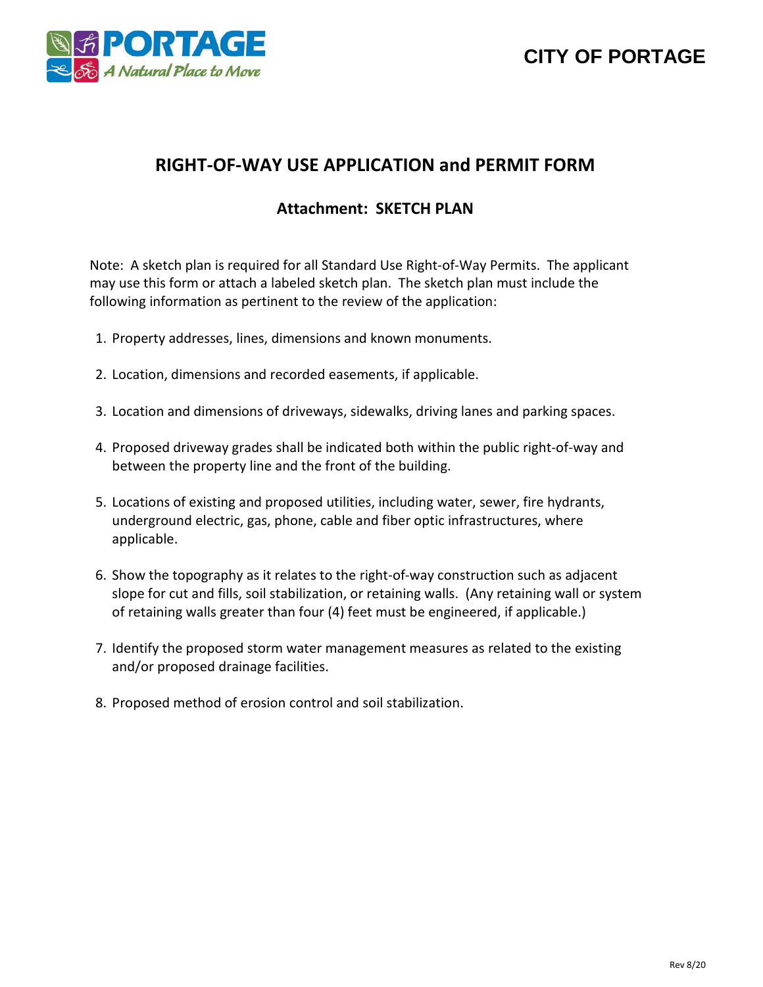



## **RIGHT-OF-WAY USE APPLICATION and PERMIT FORM**

#### **Attachment: SKETCH PLAN**

Note: A sketch plan is required for all Standard Use Right-of-Way Permits. The applicant may use this form or attach a labeled sketch plan. The sketch plan must include the following information as pertinent to the review of the application:

- 1. Property addresses, lines, dimensions and known monuments.
- 2. Location, dimensions and recorded easements, if applicable.
- 3. Location and dimensions of driveways, sidewalks, driving lanes and parking spaces.
- 4. Proposed driveway grades shall be indicated both within the public right-of-way and between the property line and the front of the building.
- 5. Locations of existing and proposed utilities, including water, sewer, fire hydrants, underground electric, gas, phone, cable and fiber optic infrastructures, where applicable.
- 6. Show the topography as it relates to the right-of-way construction such as adjacent slope for cut and fills, soil stabilization, or retaining walls. (Any retaining wall or system of retaining walls greater than four (4) feet must be engineered, if applicable.)
- 7. Identify the proposed storm water management measures as related to the existing and/or proposed drainage facilities.
- 8. Proposed method of erosion control and soil stabilization.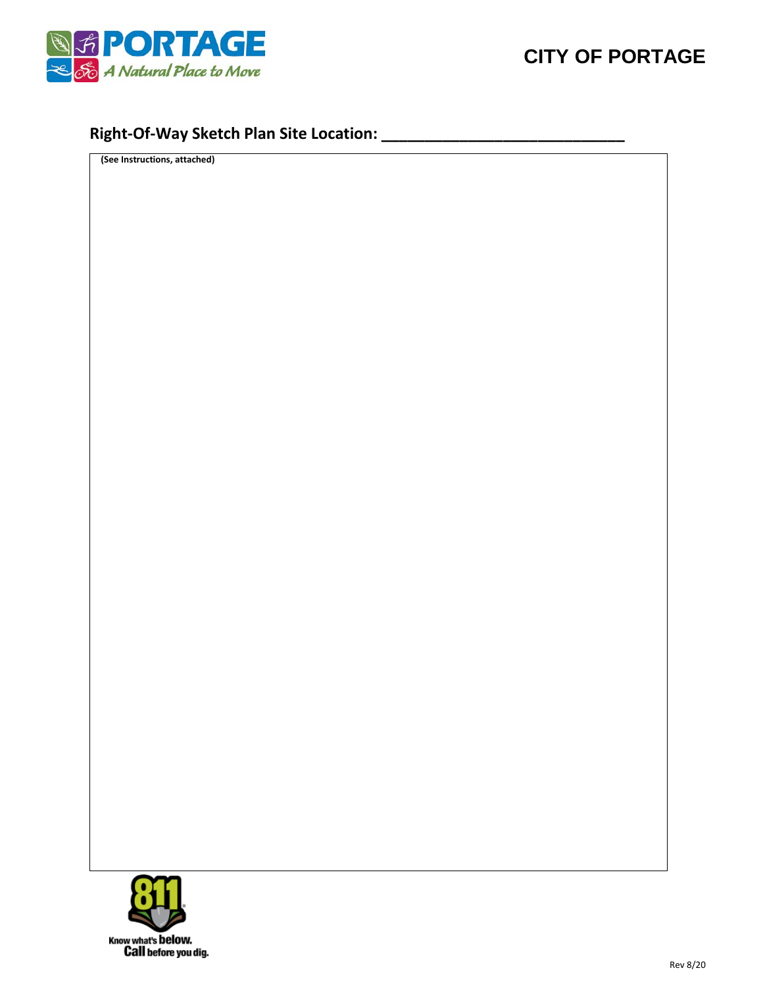

## **Right-Of-Way Sketch Plan Site Location: \_\_\_\_\_\_\_\_\_\_\_\_\_\_\_\_\_\_\_\_\_\_\_\_\_\_\_\_**

**(See Instructions, attached)**